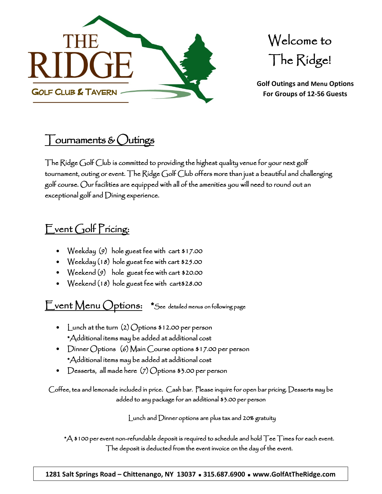

Welcome to The Ridge!

**Golf Outings and Menu Options For Groups of 12-56 Guests**

## ournaments  $\&$   $\bigcup$ utings

The Ridge Golf Club is committed to providing the highest quality venue for your next golf tournament, outing or event. The Ridge Golf Club offers more than just a beautiful and challenging golf course. Our facilities are equipped with all of the amenities you will need to round out an exceptional golf and Dining experience.

### Event Golf Pricing:

- Weekday (9) hole guest fee with cart \$17.00
- Weekday (18) hole guest fee with cart \$25.00
- Weekend (9) hole guest fee with cart \$20.00
- Weekend (18) hole guest fee with cart\$28.00

Event Menu Options: \*See detailed menus on following page

- Lunch at the turn (2) Options \$12.00 per person \*Additional items may be added at additional cost
- Dinner Options (6) Main Course options \$17.00 per person \*Additional items may be added at additional cost
- Desserts, all made here (7) Options \$3.00 per person

Coffee, tea and lemonade included in price. Cash bar. Please inquire for open bar pricing. Desserts may be added to any package for an additional \$3.00 per person

Lunch and Dinner options are plus tax and 20% gratuity

 $*$ A \$100 per event non-refundable deposit is required to schedule and hold  $\top$ ee  $\top$ imes for each event. The deposit is deducted from the event invoice on the day of the event.